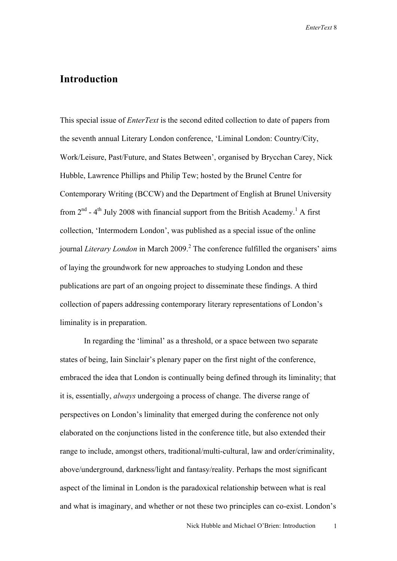## **Introduction**

This special issue of *EnterText* is the second edited collection to date of papers from the seventh annual Literary London conference, 'Liminal London: Country/City, Work/Leisure, Past/Future, and States Between', organised by Brycchan Carey, Nick Hubble, Lawrence Phillips and Philip Tew; hosted by the Brunel Centre for Contemporary Writing (BCCW) and the Department of English at Brunel University from  $2<sup>nd</sup>$  - 4<sup>th</sup> July 2008 with financial support from the British Academy.<sup>1</sup> A first collection, 'Intermodern London', was published as a special issue of the online journal *Literary London* in March 2009.<sup>2</sup> The conference fulfilled the organisers' aims of laying the groundwork for new approaches to studying London and these publications are part of an ongoing project to disseminate these findings. A third collection of papers addressing contemporary literary representations of London's liminality is in preparation.

In regarding the 'liminal' as a threshold, or a space between two separate states of being, Iain Sinclair's plenary paper on the first night of the conference, embraced the idea that London is continually being defined through its liminality; that it is, essentially, *always* undergoing a process of change. The diverse range of perspectives on London's liminality that emerged during the conference not only elaborated on the conjunctions listed in the conference title, but also extended their range to include, amongst others, traditional/multi-cultural, law and order/criminality, above/underground, darkness/light and fantasy/reality. Perhaps the most significant aspect of the liminal in London is the paradoxical relationship between what is real and what is imaginary, and whether or not these two principles can co-exist. London's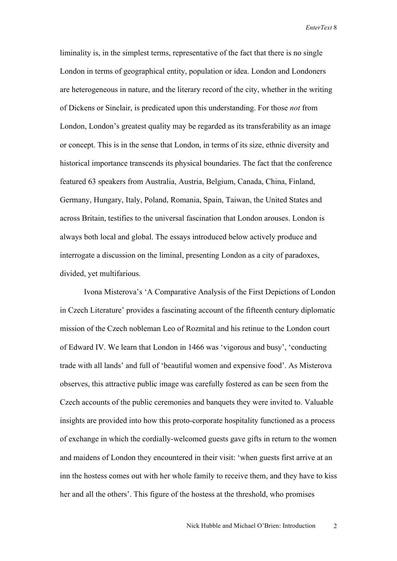liminality is, in the simplest terms, representative of the fact that there is no single London in terms of geographical entity, population or idea. London and Londoners are heterogeneous in nature, and the literary record of the city, whether in the writing of Dickens or Sinclair, is predicated upon this understanding. For those *not* from London, London's greatest quality may be regarded as its transferability as an image or concept. This is in the sense that London, in terms of its size, ethnic diversity and historical importance transcends its physical boundaries. The fact that the conference featured 63 speakers from Australia, Austria, Belgium, Canada, China, Finland, Germany, Hungary, Italy, Poland, Romania, Spain, Taiwan, the United States and across Britain, testifies to the universal fascination that London arouses. London is always both local and global. The essays introduced below actively produce and interrogate a discussion on the liminal, presenting London as a city of paradoxes, divided, yet multifarious.

Ivona Misterova's 'A Comparative Analysis of the First Depictions of London in Czech Literature' provides a fascinating account of the fifteenth century diplomatic mission of the Czech nobleman Leo of Rozmital and his retinue to the London court of Edward IV. We learn that London in 1466 was 'vigorous and busy', 'conducting trade with all lands' and full of 'beautiful women and expensive food'. As Misterova observes, this attractive public image was carefully fostered as can be seen from the Czech accounts of the public ceremonies and banquets they were invited to. Valuable insights are provided into how this proto-corporate hospitality functioned as a process of exchange in which the cordially-welcomed guests gave gifts in return to the women and maidens of London they encountered in their visit: 'when guests first arrive at an inn the hostess comes out with her whole family to receive them, and they have to kiss her and all the others'. This figure of the hostess at the threshold, who promises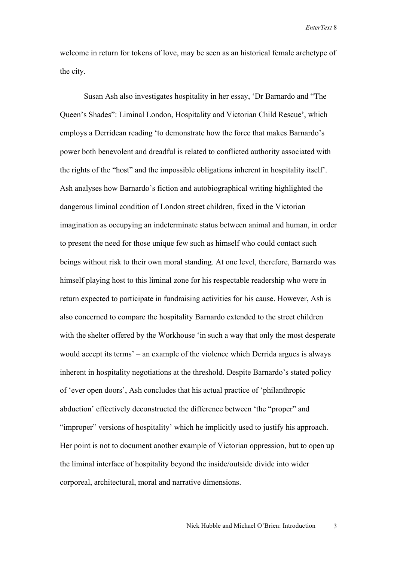welcome in return for tokens of love, may be seen as an historical female archetype of the city.

Susan Ash also investigates hospitality in her essay, 'Dr Barnardo and "The Queen's Shades": Liminal London, Hospitality and Victorian Child Rescue', which employs a Derridean reading 'to demonstrate how the force that makes Barnardo's power both benevolent and dreadful is related to conflicted authority associated with the rights of the "host" and the impossible obligations inherent in hospitality itself'. Ash analyses how Barnardo's fiction and autobiographical writing highlighted the dangerous liminal condition of London street children, fixed in the Victorian imagination as occupying an indeterminate status between animal and human, in order to present the need for those unique few such as himself who could contact such beings without risk to their own moral standing. At one level, therefore, Barnardo was himself playing host to this liminal zone for his respectable readership who were in return expected to participate in fundraising activities for his cause. However, Ash is also concerned to compare the hospitality Barnardo extended to the street children with the shelter offered by the Workhouse 'in such a way that only the most desperate would accept its terms' – an example of the violence which Derrida argues is always inherent in hospitality negotiations at the threshold. Despite Barnardo's stated policy of 'ever open doors', Ash concludes that his actual practice of 'philanthropic abduction' effectively deconstructed the difference between 'the "proper" and "improper" versions of hospitality' which he implicitly used to justify his approach. Her point is not to document another example of Victorian oppression, but to open up the liminal interface of hospitality beyond the inside/outside divide into wider corporeal, architectural, moral and narrative dimensions.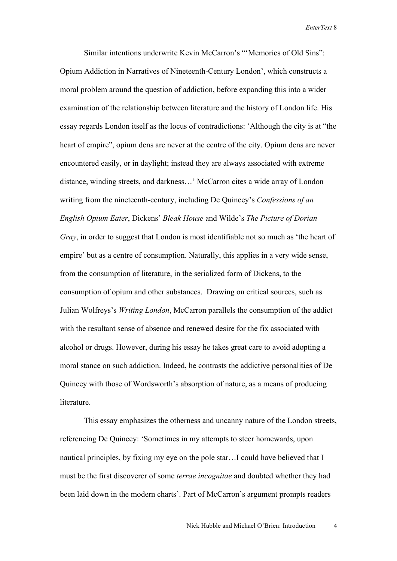Similar intentions underwrite Kevin McCarron's "'Memories of Old Sins": Opium Addiction in Narratives of Nineteenth-Century London', which constructs a moral problem around the question of addiction, before expanding this into a wider examination of the relationship between literature and the history of London life. His essay regards London itself as the locus of contradictions: 'Although the city is at "the heart of empire", opium dens are never at the centre of the city. Opium dens are never encountered easily, or in daylight; instead they are always associated with extreme distance, winding streets, and darkness…' McCarron cites a wide array of London writing from the nineteenth-century, including De Quincey's *Confessions of an English Opium Eater*, Dickens' *Bleak House* and Wilde's *The Picture of Dorian Gray*, in order to suggest that London is most identifiable not so much as 'the heart of empire' but as a centre of consumption. Naturally, this applies in a very wide sense, from the consumption of literature, in the serialized form of Dickens, to the consumption of opium and other substances. Drawing on critical sources, such as Julian Wolfreys's *Writing London*, McCarron parallels the consumption of the addict with the resultant sense of absence and renewed desire for the fix associated with alcohol or drugs. However, during his essay he takes great care to avoid adopting a moral stance on such addiction. Indeed, he contrasts the addictive personalities of De Quincey with those of Wordsworth's absorption of nature, as a means of producing **literature** 

This essay emphasizes the otherness and uncanny nature of the London streets, referencing De Quincey: 'Sometimes in my attempts to steer homewards, upon nautical principles, by fixing my eye on the pole star…I could have believed that I must be the first discoverer of some *terrae incognitae* and doubted whether they had been laid down in the modern charts'. Part of McCarron's argument prompts readers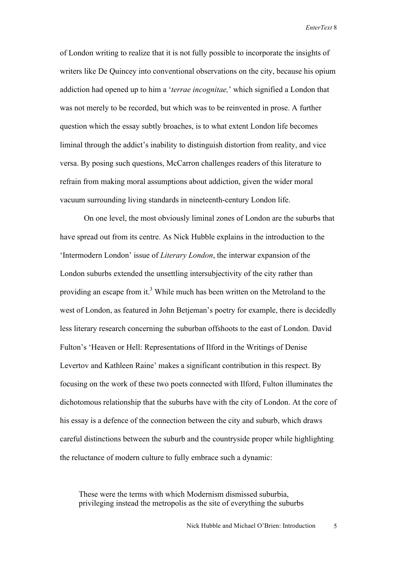of London writing to realize that it is not fully possible to incorporate the insights of writers like De Quincey into conventional observations on the city, because his opium addiction had opened up to him a '*terrae incognitae,*' which signified a London that was not merely to be recorded, but which was to be reinvented in prose. A further question which the essay subtly broaches, is to what extent London life becomes liminal through the addict's inability to distinguish distortion from reality, and vice versa. By posing such questions, McCarron challenges readers of this literature to refrain from making moral assumptions about addiction, given the wider moral vacuum surrounding living standards in nineteenth-century London life.

On one level, the most obviously liminal zones of London are the suburbs that have spread out from its centre. As Nick Hubble explains in the introduction to the 'Intermodern London' issue of *Literary London*, the interwar expansion of the London suburbs extended the unsettling intersubjectivity of the city rather than providing an escape from it.<sup>3</sup> While much has been written on the Metroland to the west of London, as featured in John Betjeman's poetry for example, there is decidedly less literary research concerning the suburban offshoots to the east of London. David Fulton's 'Heaven or Hell: Representations of Ilford in the Writings of Denise Levertov and Kathleen Raine' makes a significant contribution in this respect. By focusing on the work of these two poets connected with Ilford, Fulton illuminates the dichotomous relationship that the suburbs have with the city of London. At the core of his essay is a defence of the connection between the city and suburb, which draws careful distinctions between the suburb and the countryside proper while highlighting the reluctance of modern culture to fully embrace such a dynamic:

These were the terms with which Modernism dismissed suburbia, privileging instead the metropolis as the site of everything the suburbs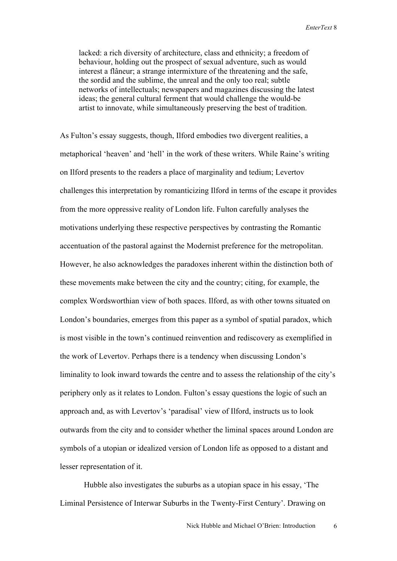lacked: a rich diversity of architecture, class and ethnicity; a freedom of behaviour, holding out the prospect of sexual adventure, such as would interest a flâneur; a strange intermixture of the threatening and the safe, the sordid and the sublime, the unreal and the only too real; subtle networks of intellectuals; newspapers and magazines discussing the latest ideas; the general cultural ferment that would challenge the would-be artist to innovate, while simultaneously preserving the best of tradition.

As Fulton's essay suggests, though, Ilford embodies two divergent realities, a metaphorical 'heaven' and 'hell' in the work of these writers. While Raine's writing on Ilford presents to the readers a place of marginality and tedium; Levertov challenges this interpretation by romanticizing Ilford in terms of the escape it provides from the more oppressive reality of London life. Fulton carefully analyses the motivations underlying these respective perspectives by contrasting the Romantic accentuation of the pastoral against the Modernist preference for the metropolitan. However, he also acknowledges the paradoxes inherent within the distinction both of these movements make between the city and the country; citing, for example, the complex Wordsworthian view of both spaces. Ilford, as with other towns situated on London's boundaries, emerges from this paper as a symbol of spatial paradox, which is most visible in the town's continued reinvention and rediscovery as exemplified in the work of Levertov. Perhaps there is a tendency when discussing London's liminality to look inward towards the centre and to assess the relationship of the city's periphery only as it relates to London. Fulton's essay questions the logic of such an approach and, as with Levertov's 'paradisal' view of Ilford, instructs us to look outwards from the city and to consider whether the liminal spaces around London are symbols of a utopian or idealized version of London life as opposed to a distant and lesser representation of it.

Hubble also investigates the suburbs as a utopian space in his essay, 'The Liminal Persistence of Interwar Suburbs in the Twenty-First Century'. Drawing on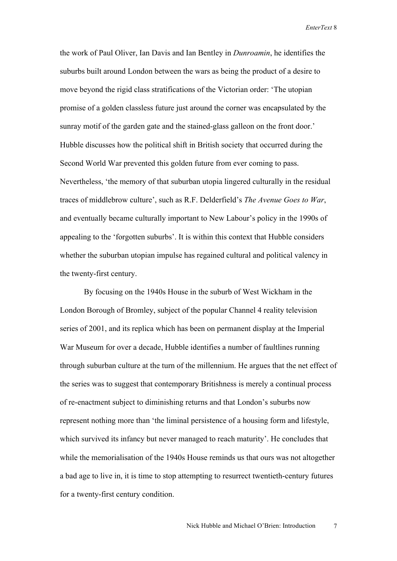the work of Paul Oliver, Ian Davis and Ian Bentley in *Dunroamin*, he identifies the suburbs built around London between the wars as being the product of a desire to move beyond the rigid class stratifications of the Victorian order: 'The utopian promise of a golden classless future just around the corner was encapsulated by the sunray motif of the garden gate and the stained-glass galleon on the front door.' Hubble discusses how the political shift in British society that occurred during the Second World War prevented this golden future from ever coming to pass. Nevertheless, 'the memory of that suburban utopia lingered culturally in the residual traces of middlebrow culture', such as R.F. Delderfield's *The Avenue Goes to War*, and eventually became culturally important to New Labour's policy in the 1990s of appealing to the 'forgotten suburbs'. It is within this context that Hubble considers whether the suburban utopian impulse has regained cultural and political valency in the twenty-first century.

By focusing on the 1940s House in the suburb of West Wickham in the London Borough of Bromley, subject of the popular Channel 4 reality television series of 2001, and its replica which has been on permanent display at the Imperial War Museum for over a decade, Hubble identifies a number of faultlines running through suburban culture at the turn of the millennium. He argues that the net effect of the series was to suggest that contemporary Britishness is merely a continual process of re-enactment subject to diminishing returns and that London's suburbs now represent nothing more than 'the liminal persistence of a housing form and lifestyle, which survived its infancy but never managed to reach maturity'. He concludes that while the memorialisation of the 1940s House reminds us that ours was not altogether a bad age to live in, it is time to stop attempting to resurrect twentieth-century futures for a twenty-first century condition.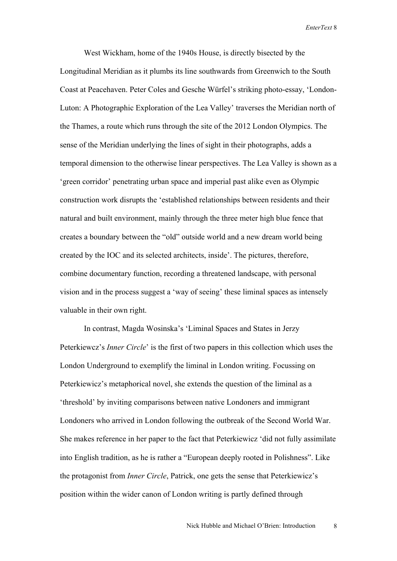West Wickham, home of the 1940s House, is directly bisected by the Longitudinal Meridian as it plumbs its line southwards from Greenwich to the South Coast at Peacehaven. Peter Coles and Gesche Würfel's striking photo-essay, 'London-Luton: A Photographic Exploration of the Lea Valley' traverses the Meridian north of the Thames, a route which runs through the site of the 2012 London Olympics. The sense of the Meridian underlying the lines of sight in their photographs, adds a temporal dimension to the otherwise linear perspectives. The Lea Valley is shown as a 'green corridor' penetrating urban space and imperial past alike even as Olympic construction work disrupts the 'established relationships between residents and their natural and built environment, mainly through the three meter high blue fence that creates a boundary between the "old" outside world and a new dream world being created by the IOC and its selected architects, inside'. The pictures, therefore, combine documentary function, recording a threatened landscape, with personal vision and in the process suggest a 'way of seeing' these liminal spaces as intensely valuable in their own right.

In contrast, Magda Wosinska's 'Liminal Spaces and States in Jerzy Peterkiewcz's *Inner Circle*' is the first of two papers in this collection which uses the London Underground to exemplify the liminal in London writing. Focussing on Peterkiewicz's metaphorical novel, she extends the question of the liminal as a 'threshold' by inviting comparisons between native Londoners and immigrant Londoners who arrived in London following the outbreak of the Second World War. She makes reference in her paper to the fact that Peterkiewicz 'did not fully assimilate into English tradition, as he is rather a "European deeply rooted in Polishness". Like the protagonist from *Inner Circle*, Patrick, one gets the sense that Peterkiewicz's position within the wider canon of London writing is partly defined through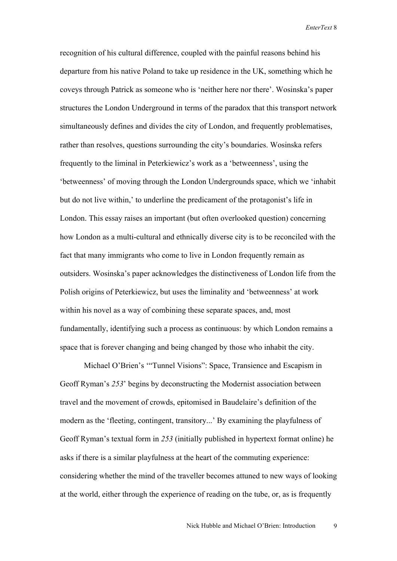recognition of his cultural difference, coupled with the painful reasons behind his departure from his native Poland to take up residence in the UK, something which he coveys through Patrick as someone who is 'neither here nor there'. Wosinska's paper structures the London Underground in terms of the paradox that this transport network simultaneously defines and divides the city of London, and frequently problematises, rather than resolves, questions surrounding the city's boundaries. Wosinska refers frequently to the liminal in Peterkiewicz's work as a 'betweenness', using the 'betweenness' of moving through the London Undergrounds space, which we 'inhabit but do not live within,' to underline the predicament of the protagonist's life in London. This essay raises an important (but often overlooked question) concerning how London as a multi-cultural and ethnically diverse city is to be reconciled with the fact that many immigrants who come to live in London frequently remain as outsiders. Wosinska's paper acknowledges the distinctiveness of London life from the Polish origins of Peterkiewicz, but uses the liminality and 'betweenness' at work within his novel as a way of combining these separate spaces, and, most fundamentally, identifying such a process as continuous: by which London remains a space that is forever changing and being changed by those who inhabit the city.

Michael O'Brien's '"Tunnel Visions": Space, Transience and Escapism in Geoff Ryman's *253*' begins by deconstructing the Modernist association between travel and the movement of crowds, epitomised in Baudelaire's definition of the modern as the 'fleeting, contingent, transitory...' By examining the playfulness of Geoff Ryman's textual form in *253* (initially published in hypertext format online) he asks if there is a similar playfulness at the heart of the commuting experience: considering whether the mind of the traveller becomes attuned to new ways of looking at the world, either through the experience of reading on the tube, or, as is frequently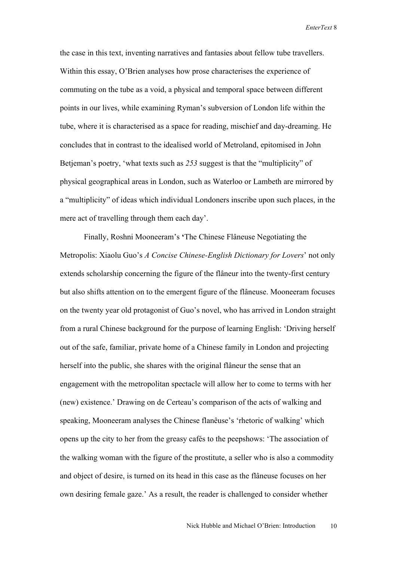the case in this text, inventing narratives and fantasies about fellow tube travellers. Within this essay, O'Brien analyses how prose characterises the experience of commuting on the tube as a void, a physical and temporal space between different points in our lives, while examining Ryman's subversion of London life within the tube, where it is characterised as a space for reading, mischief and day-dreaming. He concludes that in contrast to the idealised world of Metroland, epitomised in John Betjeman's poetry, 'what texts such as *253* suggest is that the "multiplicity" of physical geographical areas in London, such as Waterloo or Lambeth are mirrored by a "multiplicity" of ideas which individual Londoners inscribe upon such places, in the mere act of travelling through them each day'.

Finally, Roshni Mooneeram's **'**The Chinese Flâneuse Negotiating the Metropolis: Xiaolu Guo's *A Concise Chinese-English Dictionary for Lovers*' not only extends scholarship concerning the figure of the flâneur into the twenty-first century but also shifts attention on to the emergent figure of the flâneuse. Mooneeram focuses on the twenty year old protagonist of Guo's novel, who has arrived in London straight from a rural Chinese background for the purpose of learning English: 'Driving herself out of the safe, familiar, private home of a Chinese family in London and projecting herself into the public, she shares with the original flâneur the sense that an engagement with the metropolitan spectacle will allow her to come to terms with her (new) existence.' Drawing on de Certeau's comparison of the acts of walking and speaking, Mooneeram analyses the Chinese flanêuse's 'rhetoric of walking' which opens up the city to her from the greasy cafés to the peepshows: 'The association of the walking woman with the figure of the prostitute, a seller who is also a commodity and object of desire, is turned on its head in this case as the flâneuse focuses on her own desiring female gaze.' As a result, the reader is challenged to consider whether